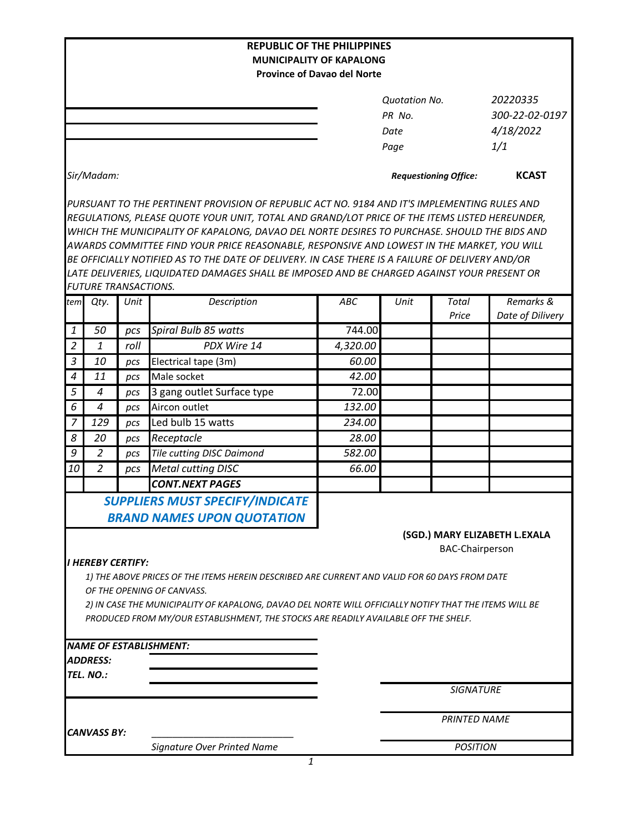|                                                                                                                                      |                             |             | <b>REPUBLIC OF THE PHILIPPINES</b>                                                               |                              |                      |                        |                               |  |  |  |
|--------------------------------------------------------------------------------------------------------------------------------------|-----------------------------|-------------|--------------------------------------------------------------------------------------------------|------------------------------|----------------------|------------------------|-------------------------------|--|--|--|
|                                                                                                                                      |                             |             | <b>MUNICIPALITY OF KAPALONG</b>                                                                  |                              |                      |                        |                               |  |  |  |
|                                                                                                                                      |                             |             | <b>Province of Davao del Norte</b>                                                               |                              |                      |                        |                               |  |  |  |
|                                                                                                                                      |                             |             |                                                                                                  |                              | <b>Quotation No.</b> |                        | 20220335                      |  |  |  |
|                                                                                                                                      |                             |             |                                                                                                  | PR No.                       |                      |                        | 300-22-02-0197                |  |  |  |
|                                                                                                                                      |                             |             |                                                                                                  |                              |                      | 4/18/2022              |                               |  |  |  |
|                                                                                                                                      |                             |             |                                                                                                  |                              | Date                 |                        | 1/1                           |  |  |  |
|                                                                                                                                      |                             |             |                                                                                                  |                              | Page                 |                        |                               |  |  |  |
|                                                                                                                                      | Sir/Madam:                  |             |                                                                                                  | <b>Requestioning Office:</b> |                      |                        | <b>KCAST</b>                  |  |  |  |
|                                                                                                                                      |                             |             | PURSUANT TO THE PERTINENT PROVISION OF REPUBLIC ACT NO. 9184 AND IT'S IMPLEMENTING RULES AND     |                              |                      |                        |                               |  |  |  |
|                                                                                                                                      |                             |             | REGULATIONS, PLEASE QUOTE YOUR UNIT, TOTAL AND GRAND/LOT PRICE OF THE ITEMS LISTED HEREUNDER,    |                              |                      |                        |                               |  |  |  |
|                                                                                                                                      |                             |             | WHICH THE MUNICIPALITY OF KAPALONG, DAVAO DEL NORTE DESIRES TO PURCHASE. SHOULD THE BIDS AND     |                              |                      |                        |                               |  |  |  |
|                                                                                                                                      |                             |             | AWARDS COMMITTEE FIND YOUR PRICE REASONABLE, RESPONSIVE AND LOWEST IN THE MARKET, YOU WILL       |                              |                      |                        |                               |  |  |  |
|                                                                                                                                      |                             |             | BE OFFICIALLY NOTIFIED AS TO THE DATE OF DELIVERY. IN CASE THERE IS A FAILURE OF DELIVERY AND/OR |                              |                      |                        |                               |  |  |  |
|                                                                                                                                      |                             |             | LATE DELIVERIES, LIQUIDATED DAMAGES SHALL BE IMPOSED AND BE CHARGED AGAINST YOUR PRESENT OR      |                              |                      |                        |                               |  |  |  |
|                                                                                                                                      | <b>FUTURE TRANSACTIONS.</b> |             |                                                                                                  |                              |                      |                        |                               |  |  |  |
| tem                                                                                                                                  | Qty.                        | Unit        | Description                                                                                      | ABC                          | Unit                 | Total                  | Remarks &                     |  |  |  |
| $\boldsymbol{1}$                                                                                                                     | 50                          |             | Spiral Bulb 85 watts                                                                             | 744.00                       |                      | Price                  | Date of Dilivery              |  |  |  |
| $\overline{2}$                                                                                                                       | 1                           | pcs<br>roll | PDX Wire 14                                                                                      | 4,320.00                     |                      |                        |                               |  |  |  |
| $\mathfrak{Z}$                                                                                                                       | 10                          | pcs         | Electrical tape (3m)                                                                             | 60.00                        |                      |                        |                               |  |  |  |
| $\boldsymbol{4}$                                                                                                                     | 11                          | pcs         | Male socket                                                                                      | 42.00                        |                      |                        |                               |  |  |  |
| 5                                                                                                                                    | 4                           | pcs         | 3 gang outlet Surface type                                                                       | 72.00                        |                      |                        |                               |  |  |  |
| 6                                                                                                                                    | 4                           | pcs         | Aircon outlet                                                                                    | 132.00                       |                      |                        |                               |  |  |  |
| 7                                                                                                                                    | 129                         | pcs         | Led bulb 15 watts                                                                                | 234.00                       |                      |                        |                               |  |  |  |
| 8                                                                                                                                    | 20                          | pcs         | Receptacle                                                                                       | 28.00                        |                      |                        |                               |  |  |  |
| 9                                                                                                                                    | 2                           | pcs         | Tile cutting DISC Daimond                                                                        | 582.00                       |                      |                        |                               |  |  |  |
| 10                                                                                                                                   | $\overline{2}$              | pcs         | <b>Metal cutting DISC</b>                                                                        | 66.00                        |                      |                        |                               |  |  |  |
|                                                                                                                                      |                             |             | <b>CONT.NEXT PAGES</b>                                                                           |                              |                      |                        |                               |  |  |  |
|                                                                                                                                      |                             |             | SUPPLIERS MUST SPECIFY/INDICATE                                                                  |                              |                      |                        |                               |  |  |  |
|                                                                                                                                      |                             |             | <b>BRAND NAMES UPON QUOTATION</b>                                                                |                              |                      |                        |                               |  |  |  |
|                                                                                                                                      |                             |             |                                                                                                  |                              |                      |                        |                               |  |  |  |
|                                                                                                                                      |                             |             |                                                                                                  |                              |                      | <b>BAC-Chairperson</b> | (SGD.) MARY ELIZABETH L.EXALA |  |  |  |
|                                                                                                                                      | <b>I HEREBY CERTIFY:</b>    |             |                                                                                                  |                              |                      |                        |                               |  |  |  |
|                                                                                                                                      |                             |             | 1) THE ABOVE PRICES OF THE ITEMS HEREIN DESCRIBED ARE CURRENT AND VALID FOR 60 DAYS FROM DATE    |                              |                      |                        |                               |  |  |  |
|                                                                                                                                      |                             |             |                                                                                                  |                              |                      |                        |                               |  |  |  |
| OF THE OPENING OF CANVASS.<br>2) IN CASE THE MUNICIPALITY OF KAPALONG, DAVAO DEL NORTE WILL OFFICIALLY NOTIFY THAT THE ITEMS WILL BE |                             |             |                                                                                                  |                              |                      |                        |                               |  |  |  |
|                                                                                                                                      |                             |             | PRODUCED FROM MY/OUR ESTABLISHMENT, THE STOCKS ARE READILY AVAILABLE OFF THE SHELF.              |                              |                      |                        |                               |  |  |  |
|                                                                                                                                      |                             |             |                                                                                                  |                              |                      |                        |                               |  |  |  |
|                                                                                                                                      |                             |             | <b>NAME OF ESTABLISHMENT:</b>                                                                    |                              |                      |                        |                               |  |  |  |
|                                                                                                                                      | ADDRESS:                    |             |                                                                                                  |                              |                      |                        |                               |  |  |  |
|                                                                                                                                      | TEL. NO.:                   |             |                                                                                                  |                              |                      |                        |                               |  |  |  |
|                                                                                                                                      |                             |             |                                                                                                  |                              |                      | <b>SIGNATURE</b>       |                               |  |  |  |
|                                                                                                                                      |                             |             |                                                                                                  |                              | <b>PRINTED NAME</b>  |                        |                               |  |  |  |
|                                                                                                                                      | <b>CANVASS BY:</b>          |             |                                                                                                  |                              |                      |                        |                               |  |  |  |
|                                                                                                                                      |                             |             | Signature Over Printed Name                                                                      |                              |                      | <b>POSITION</b>        |                               |  |  |  |
|                                                                                                                                      |                             |             | 1                                                                                                |                              |                      |                        |                               |  |  |  |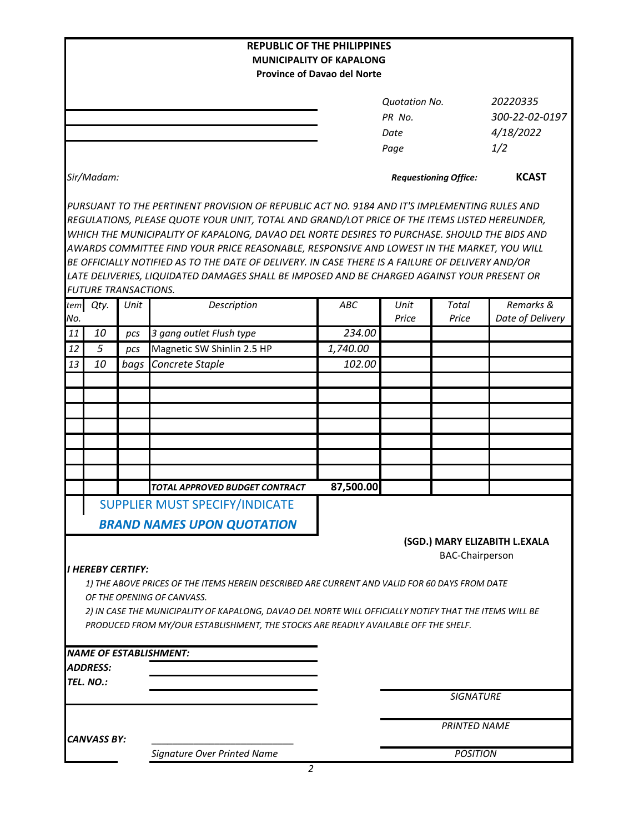|                    |                             |      | <b>REPUBLIC OF THE PHILIPPINES</b>                                                                                                                                                                                                                                                                                                                                                                                                                                                                                                                                                             | <b>MUNICIPALITY OF KAPALONG</b>    |                                                |                        |                                                |  |
|--------------------|-----------------------------|------|------------------------------------------------------------------------------------------------------------------------------------------------------------------------------------------------------------------------------------------------------------------------------------------------------------------------------------------------------------------------------------------------------------------------------------------------------------------------------------------------------------------------------------------------------------------------------------------------|------------------------------------|------------------------------------------------|------------------------|------------------------------------------------|--|
|                    |                             |      |                                                                                                                                                                                                                                                                                                                                                                                                                                                                                                                                                                                                | <b>Province of Davao del Norte</b> |                                                |                        |                                                |  |
|                    |                             |      |                                                                                                                                                                                                                                                                                                                                                                                                                                                                                                                                                                                                |                                    | <b>Quotation No.</b><br>PR No.<br>Date<br>Page |                        | 20220335<br>300-22-02-0197<br>4/18/2022<br>1/2 |  |
|                    | Sir/Madam:                  |      |                                                                                                                                                                                                                                                                                                                                                                                                                                                                                                                                                                                                |                                    | <b>Requestioning Office:</b>                   |                        | <b>KCAST</b>                                   |  |
|                    | <b>FUTURE TRANSACTIONS.</b> |      | PURSUANT TO THE PERTINENT PROVISION OF REPUBLIC ACT NO. 9184 AND IT'S IMPLEMENTING RULES AND<br>REGULATIONS, PLEASE QUOTE YOUR UNIT, TOTAL AND GRAND/LOT PRICE OF THE ITEMS LISTED HEREUNDER,<br>WHICH THE MUNICIPALITY OF KAPALONG, DAVAO DEL NORTE DESIRES TO PURCHASE. SHOULD THE BIDS AND<br>AWARDS COMMITTEE FIND YOUR PRICE REASONABLE, RESPONSIVE AND LOWEST IN THE MARKET, YOU WILL<br>BE OFFICIALLY NOTIFIED AS TO THE DATE OF DELIVERY. IN CASE THERE IS A FAILURE OF DELIVERY AND/OR<br>LATE DELIVERIES, LIQUIDATED DAMAGES SHALL BE IMPOSED AND BE CHARGED AGAINST YOUR PRESENT OR |                                    |                                                |                        |                                                |  |
| tem                | Qty.                        | Unit | Description                                                                                                                                                                                                                                                                                                                                                                                                                                                                                                                                                                                    | <b>ABC</b>                         | Unit                                           | Total                  | Remarks &                                      |  |
| No.                |                             |      |                                                                                                                                                                                                                                                                                                                                                                                                                                                                                                                                                                                                |                                    | Price                                          | Price                  | Date of Delivery                               |  |
| 11                 | 10                          | pcs  | 3 gang outlet Flush type                                                                                                                                                                                                                                                                                                                                                                                                                                                                                                                                                                       | 234.00                             |                                                |                        |                                                |  |
| 12                 | 5                           | pcs  | Magnetic SW Shinlin 2.5 HP                                                                                                                                                                                                                                                                                                                                                                                                                                                                                                                                                                     | 1,740.00                           |                                                |                        |                                                |  |
| 13                 | 10                          | bags | Concrete Staple                                                                                                                                                                                                                                                                                                                                                                                                                                                                                                                                                                                | 102.00                             |                                                |                        |                                                |  |
|                    |                             |      |                                                                                                                                                                                                                                                                                                                                                                                                                                                                                                                                                                                                |                                    |                                                |                        |                                                |  |
|                    |                             |      |                                                                                                                                                                                                                                                                                                                                                                                                                                                                                                                                                                                                |                                    |                                                |                        |                                                |  |
|                    |                             |      | TOTAL APPROVED BUDGET CONTRACT                                                                                                                                                                                                                                                                                                                                                                                                                                                                                                                                                                 | 87,500.00                          |                                                |                        |                                                |  |
|                    |                             |      | SUPPLIER MUST SPECIFY/INDICATE<br><b>BRAND NAMES UPON QUOTATION</b>                                                                                                                                                                                                                                                                                                                                                                                                                                                                                                                            |                                    |                                                | <b>BAC-Chairperson</b> | (SGD.) MARY ELIZABITH L.EXALA                  |  |
|                    | <b>I HEREBY CERTIFY:</b>    |      | 1) THE ABOVE PRICES OF THE ITEMS HEREIN DESCRIBED ARE CURRENT AND VALID FOR 60 DAYS FROM DATE<br>OF THE OPENING OF CANVASS.<br>2) IN CASE THE MUNICIPALITY OF KAPALONG, DAVAO DEL NORTE WILL OFFICIALLY NOTIFY THAT THE ITEMS WILL BE<br>PRODUCED FROM MY/OUR ESTABLISHMENT, THE STOCKS ARE READILY AVAILABLE OFF THE SHELF.                                                                                                                                                                                                                                                                   |                                    |                                                |                        |                                                |  |
|                    | ADDRESS:                    |      | <b>NAME OF ESTABLISHMENT:</b>                                                                                                                                                                                                                                                                                                                                                                                                                                                                                                                                                                  |                                    |                                                |                        |                                                |  |
|                    | TEL. NO.:                   |      |                                                                                                                                                                                                                                                                                                                                                                                                                                                                                                                                                                                                |                                    |                                                | <b>SIGNATURE</b>       |                                                |  |
| <b>CANVASS BY:</b> |                             |      |                                                                                                                                                                                                                                                                                                                                                                                                                                                                                                                                                                                                |                                    | <b>PRINTED NAME</b>                            |                        |                                                |  |
|                    |                             |      | Signature Over Printed Name                                                                                                                                                                                                                                                                                                                                                                                                                                                                                                                                                                    |                                    | <b>POSITION</b>                                |                        |                                                |  |